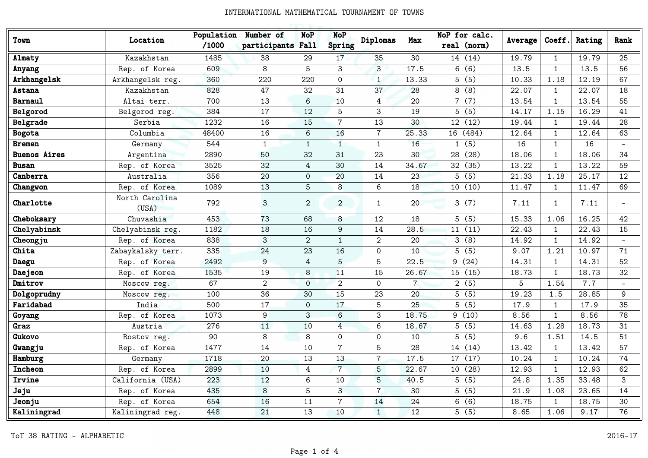| Town                | Location                | Population<br>/1000 | Number of<br>participants Fall | <b>NoP</b>     | <b>NoP</b><br>Spring | Diplomas       | Max            | NoP for calc.<br>real (norm) | Average | Coeff.       | Rating | Rank                     |
|---------------------|-------------------------|---------------------|--------------------------------|----------------|----------------------|----------------|----------------|------------------------------|---------|--------------|--------|--------------------------|
| Almaty              | Kazakhstan              | 1485                | 38                             | 29             | 17                   | 35             | 30             | 14 (14)                      | 19.79   | $\mathbf{1}$ | 19.79  | 25                       |
| Anyang              | Rep. of Korea           | 609                 | 8                              | 5              | 3                    | $\mathbf{3}$   | 17.5           | 6(6)                         | 13.5    | $\mathbf{1}$ | 13.5   | 56                       |
| Arkhangelsk         | Arkhangelsk reg.        | 360                 | 220                            | 220            | $\mathbf 0$          | $\mathbf{1}$   | 13.33          | 5(5)                         | 10.33   | 1.18         | 12.19  | 67                       |
| <b>Astana</b>       | Kazakhstan              | 828                 | 47                             | 32             | 31                   | 37             | 28             | 8(8)                         | 22.07   | $\mathbf{1}$ | 22.07  | 18                       |
| Barnaul             | Altai terr.             | 700                 | 13                             | 6              | 10                   | $\overline{4}$ | 20             | 7(7)                         | 13.54   | $\mathbf{1}$ | 13.54  | 55                       |
| Belgorod            | Belgorod reg.           | 384                 | 17                             | 12             | 5                    | 3              | 19             | 5(5)                         | 14.17   | 1.15         | 16.29  | 41                       |
| Belgrade            | Serbia                  | 1232                | 16                             | 15             | $\overline{7}$       | 13             | 30             | 12 (12)                      | 19.44   | $\mathbf{1}$ | 19.44  | 28                       |
| <b>Bogota</b>       | Columbia                | 48400               | 16                             | 6              | 16                   | $\overline{7}$ | 25.33          | 16 (484)                     | 12.64   | $\mathbf{1}$ | 12.64  | 63                       |
| <b>Bremen</b>       | Germany                 | 544                 | $\mathbf{1}$                   | $\mathbf{1}$   | $\mathbf{1}$         | $\mathbf{1}$   | 16             | 1(5)                         | 16      | $\mathbf{1}$ | 16     | $\overline{\phantom{0}}$ |
| <b>Buenos Aires</b> | Argentina               | 2890                | 50                             | 32             | 31                   | 23             | 30             | 28 (28)                      | 18.06   | $\mathbf{1}$ | 18.06  | 34                       |
| <b>Busan</b>        | Rep. of Korea           | 3525                | 32                             | 4              | 30                   | 14             | 34.67          | 32 (35)                      | 13.22   | $\mathbf{1}$ | 13.22  | 59                       |
| Canberra            | Australia               | 356                 | 20                             | $\mathsf{O}$   | 20                   | 14             | 23             | 5(5)                         | 21.33   | 1.18         | 25.17  | 12                       |
| Changwon            | Rep. of Korea           | 1089                | 13                             | 5              | 8                    | 6              | 18             | 10(10)                       | 11.47   | $\mathbf{1}$ | 11.47  | 69                       |
| Charlotte           | North Carolina<br>(USA) | 792                 | $\mathbf{3}$                   | $\overline{2}$ | $\overline{2}$       | $\mathbf{1}$   | 20             | 3(7)                         | 7.11    | 1            | 7.11   | $\overline{\phantom{0}}$ |
| Cheboksary          | Chuvashia               | 453                 | 73                             | 68             | 8                    | 12             | 18             | 5(5)                         | 15.33   | 1.06         | 16.25  | 42                       |
| Chelyabinsk         | Chelyabinsk reg.        | 1182                | 18                             | 16             | 9                    | 14             | 28.5           | 11(11)                       | 22.43   | $\mathbf{1}$ | 22.43  | 15                       |
| Cheongju            | Rep. of Korea           | 838                 | $\mathsf 3$                    | $\overline{2}$ | $\mathbf{1}$         | 2              | 20             | 3(8)                         | 14.92   | $\mathbf{1}$ | 14.92  | $\blacksquare$           |
| Chita               | Zabaykalsky terr.       | 335                 | 24                             | 23             | 16                   | $\mathbf 0$    | 10             | 5(5)                         | 9.07    | 1.21         | 10.97  | 71                       |
| Daegu               | Rep. of Korea           | 2492                | 9                              | $\overline{4}$ | 5                    | 5              | 22.5           | 9(24)                        | 14.31   | $\mathbf{1}$ | 14.31  | 52                       |
| Daejeon             | Rep. of Korea           | 1535                | 19                             | 8              | 11                   | 15             | 26.67          | 15 (15)                      | 18.73   | $\mathbf{1}$ | 18.73  | 32                       |
| Dmitrov             | Moscow reg.             | 67                  | $\overline{2}$                 | $\mathbf 0$    | $\overline{2}$       | $\mathbf 0$    | $7\phantom{.}$ | 2(5)                         | 5       | 1.54         | 7.7    |                          |
| Dolgoprudny         | Moscow reg.             | 100                 | 36                             | 30             | 15                   | 23             | 20             | 5(5)                         | 19.23   | 1.5          | 28.85  | 9                        |
| Faridabad           | India                   | 500                 | 17                             | $\mathbf 0$    | 17                   | 5              | 25             | 5(5)                         | 17.9    | $\mathbf{1}$ | 17.9   | 35                       |
| Goyang              | Rep. of Korea           | 1073                | 9                              | 3              | 6                    | 3              | 18.75          | 9(10)                        | 8.56    | $\mathbf{1}$ | 8.56   | 78                       |
| Graz                | Austria                 | 276                 | 11                             | 10             | $\overline{4}$       | 6              | 18.67          | 5(5)                         | 14.63   | 1.28         | 18.73  | 31                       |
| Gukovo              | Rostov reg.             | 90                  | 8                              | 8              | $\mathbf 0$          | $\mathbf 0$    | 10             | 5(5)                         | 9.6     | 1.51         | 14.5   | 51                       |
| Gwangju             | Rep. of Korea           | 1477                | 14                             | 10             | $\overline{7}$       | 5              | 28             | 14 (14)                      | 13.42   | $\mathbf{1}$ | 13.42  | 57                       |
| Hamburg             | Germany                 | 1718                | 20                             | 13             | 13                   | $\overline{7}$ | 17.5           | 17 (17)                      | 10.24   | $\mathbf{1}$ | 10.24  | 74                       |
| Incheon             | Rep. of Korea           | 2899                | 10                             | 4              | $\overline{7}$       | 5              | 22.67          | 10 (28)                      | 12.93   | $\mathbf{1}$ | 12.93  | 62                       |
| Irvine              | California (USA)        | 223                 | 12                             | 6              | 10                   | 5              | 40.5           | 5(5)                         | 24.8    | 1.35         | 33.48  | 3                        |
| Jeju                | Rep. of Korea           | 435                 | 8                              | 5              | 3                    | $\overline{7}$ | 30             | 5(5)                         | 21.9    | 1.08         | 23.65  | 14                       |
| Jeonju              | Rep. of Korea           | 654                 | 16                             | 11             | $\overline{7}$       | 14             | 24             | 6(6)                         | 18.75   | $\mathbf{1}$ | 18.75  | 30                       |
| Kaliningrad         | Kaliningrad reg.        | 448                 | 21                             | 13             | 10                   | $\mathbf{1}$   | 12             | 5(5)                         | 8.65    | 1.06         | 9.17   | 76                       |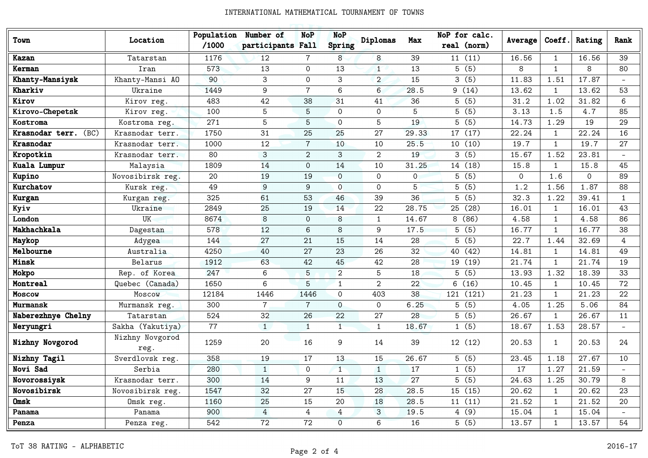| Town                    | Location                | Population<br>/1000 | Number of<br>participants Fall | <b>NoP</b>     | <b>NoP</b><br>Spring | Diplomas       | Max            | NoP for calc.<br>real (norm) | Average  | Coeff.         | Rating       | Rank         |
|-------------------------|-------------------------|---------------------|--------------------------------|----------------|----------------------|----------------|----------------|------------------------------|----------|----------------|--------------|--------------|
| Kazan                   | Tatarstan               | 1176                | 12                             | 7              | 8                    | 8              | 39             | 11(11)                       | 16.56    | $\mathbf{1}$   | 16.56        | 39           |
| Kerman                  | Iran                    | 573                 | 13                             | $\Omega$       | 13                   | $\mathbf{1}$   | 13             | 5(5)                         | 8        | $\overline{1}$ | 8            | 80           |
| Khanty-Mansiysk         | Khanty-Mansi AO         | 90                  | 3                              | $\Omega$       | 3                    | $\overline{2}$ | 15             | 3(5)                         | 11.83    | 1.51           | 17.87        |              |
| Kharkiv                 | Ukraine                 | 1449                | 9                              | $\overline{7}$ | 6                    | 6              | 28.5           | 9(14)                        | 13.62    | $\mathbf{1}$   | 13.62        | 53           |
| Kirov                   | Kirov reg.              | 483                 | 42                             | 38             | 31                   | 41             | 36             | 5(5)                         | 31.2     | 1.02           | 31.82        | 6            |
| Kirovo-Chepetsk         | Kirov reg.              | 100                 | 5                              | 5              | $\Omega$             | $\Omega$       | 5              | 5(5)                         | 3.13     | 1.5            | 4.7          | 85           |
| Kostroma                | Kostroma reg.           | 271                 | 5                              | 5              | $\Omega$             | 5              | 19             | 5(5)                         | 14.73    | 1.29           | 19           | 29           |
| Krasnodar terr.<br>(BC) | Krasnodar terr.         | 1750                | 31                             | 25             | 25                   | 27             | 29.33          | 17 (17)                      | 22.24    | 1              | 22.24        | 16           |
| Krasnodar               | Krasnodar terr.         | 1000                | 12                             | $\overline{7}$ | 10                   | 10             | 25.5           | 10(10)                       | 19.7     | $\mathbf{1}$   | 19.7         | 27           |
| Kropotkin               | Krasnodar terr.         | 80                  | 3                              | $\overline{2}$ | 3                    | $\overline{2}$ | 19             | 3(5)                         | 15.67    | 1.52           | 23.81        |              |
| Kuala Lumpur            | Malaysia                | 1809                | 14                             | $\Omega$       | 14                   | 10             | 31.25          | 14 (18)                      | 15.8     | $\mathbf{1}$   | 15.8         | 45           |
| Kupino                  | Novosibirsk reg.        | 20                  | 19                             | 19             | $\Omega$             | $\mathbf{0}$   | $\overline{0}$ | 5(5)                         | $\Omega$ | 1.6            | $\mathbf{0}$ | 89           |
| Kurchatov               | Kursk reg.              | 49                  | 9                              | 9              | $\Omega$             | $\Omega$       | 5              | 5(5)                         | 1.2      | 1.56           | 1.87         | 88           |
| Kurgan                  | Kurgan reg.             | 325                 | 61                             | 53             | 46                   | 39             | 36             | 5(5)                         | 32.3     | 1.22           | 39.41        | $\mathbf{1}$ |
| Kyiv                    | Ukraine                 | 2849                | 25                             | 19             | 14                   | 22             | 28.75          | 25 (28)                      | 16.01    | $\mathbf{1}$   | 16.01        | 43           |
| London                  | UK                      | 8674                | 8                              | $\Omega$       | 8                    | $\mathbf{1}$   | 14.67          | 8(86)                        | 4.58     | $\mathbf{1}$   | 4.58         | 86           |
| Makhachkala             | Dagestan                | 578                 | 12                             | 6              | 8                    | 9              | 17.5           | 5(5)                         | 16.77    | $\mathbf 1$    | 16.77        | 38           |
| Maykop                  | Adygea                  | 144                 | 27                             | 21             | 15                   | 14             | 28             | 5(5)                         | 22.7     | 1.44           | 32.69        | 4            |
| Melbourne               | Australia               | 4250                | 40                             | 27             | 23                   | 26             | 32             | 40 (42)                      | 14.81    | $\mathbf{1}$   | 14.81        | 49           |
| Minsk                   | Belarus                 | 1912                | 63                             | 42             | 45                   | 42             | 28             | 19 (19)                      | 21.74    | $\mathbf{1}$   | 21.74        | 19           |
| Mokpo                   | Rep. of Korea           | 247                 | 6                              | 5              | $\overline{2}$       | 5              | 18             | 5(5)                         | 13.93    | 1.32           | 18.39        | 33           |
| Montreal                | Quebec (Canada)         | 1650                | 6                              | 5              | $\mathbf{1}$         | $\overline{2}$ | 22             | 6(16)                        | 10.45    | $\mathbf{1}$   | 10.45        | 72           |
| Moscow                  | Moscow                  | 12184               | 1446                           | 1446           | $\Omega$             | 403            | 38             | 121 (121)                    | 21.23    | 1              | 21.23        | 22           |
| <b>Murmansk</b>         | Murmansk reg.           | 300                 | $\overline{7}$                 | $\overline{7}$ | $\Omega$             | $\mathbf{0}$   | 6.25           | 5(5)                         | 4.05     | 1.25           | 5.06         | 84           |
| Naberezhnye Chelny      | Tatarstan               | 524                 | 32                             | 26             | 22                   | 27             | 28             | 5(5)                         | 26.67    | $\mathbf{1}$   | 26.67        | 11           |
| Neryungri               | Sakha (Yakutiya)        | 77                  | $\mathbf{1}$                   | $\mathbf{1}$   | $\mathbf{1}$         | $\mathbf{1}$   | 18.67          | 1(5)                         | 18.67    | 1.53           | 28.57        |              |
| Nizhny Novgorod         | Nizhny Novgorod<br>reg. | 1259                | 20                             | 16             | 9                    | 14             | 39             | 12 (12)                      | 20.53    | $\mathbf{1}$   | 20.53        | 24           |
| Nizhny Tagil            | Sverdlovsk reg.         | 358                 | 19                             | 17             | 13                   | 15             | 26.67          | 5(5)                         | 23.45    | 1.18           | 27.67        | 10           |
| Novi Sad                | Serbia                  | 280                 | $\mathbf{1}$                   | $\mathbf{0}$   | 1                    | $\mathbf{1}$   | 17             | 1(5)                         | 17       | 1.27           | 21.59        |              |
| Novorossiysk            | Krasnodar terr.         | 300                 | 14                             | 9              | 11                   | 13             | 27             | 5(5)                         | 24.63    | 1.25           | 30.79        | 8            |
| Novosibirsk             | Novosibirsk reg.        | 1547                | 32                             | 27             | 15                   | 28             | 28.5           | 15 (15)                      | 20.62    | $\mathbf{1}$   | 20.62        | 23           |
| Omsk                    | Omsk reg.               | 1160                | 25                             | 15             | 20                   | 18             | 28.5           | 11(11)                       | 21.52    | 1              | 21.52        | 20           |
| Panama                  | Panama                  | 900                 | $\overline{4}$                 | 4              | 4                    | $\mathbf{3}$   | 19.5           | 4(9)                         | 15.04    | 1              | 15.04        |              |
| Penza                   | Penza reg.              | 542                 | 72                             | 72             | $\overline{O}$       | 6              | 16             | 5(5)                         | 13.57    | $\mathbf{1}$   | 13.57        | 54           |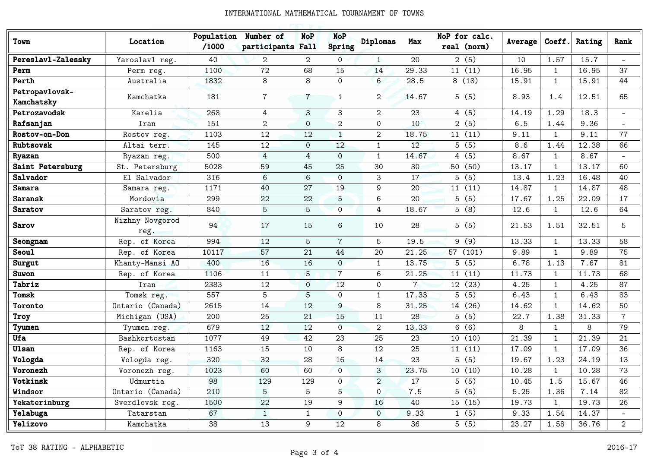| Town                         | Location                | Population<br>/1000 | Number of<br>participants Fall | <b>NoP</b>     | <b>NoP</b><br>Spring | Diplomas       | Max         | NoP for calc.<br>real (norm) | Average | Coeff.       | Rating | Rank           |
|------------------------------|-------------------------|---------------------|--------------------------------|----------------|----------------------|----------------|-------------|------------------------------|---------|--------------|--------|----------------|
| Pereslavl-Zalessky           | Yaroslavl reg.          | 40                  | $\overline{2}$                 | $\overline{2}$ | $\overline{O}$       | $\mathbf{1}$   | 20          | 2(5)                         | 10      | 1.57         | 15.7   |                |
| Perm                         | Perm reg.               | 1100                | 72                             | 68             | 15                   | 14             | 29.33       | 11(11)                       | 16.95   | $\mathbf{1}$ | 16.95  | 37             |
| Perth                        | Australia               | 1832                | 8                              | 8              | $\Omega$             | 6              | 28.5        | 8(18)                        | 15.91   | $\mathbf{1}$ | 15.91  | 44             |
| Petropavlovsk-<br>Kamchatsky | Kamchatka               | 181                 | $\overline{7}$                 | $\overline{7}$ | $\mathbf{1}$         | $\overline{2}$ | 14.67       | 5(5)                         | 8.93    | 1.4          | 12.51  | 65             |
| Petrozavodsk                 | Karelia                 | 268                 | 4                              | 3              | 3                    | $\overline{2}$ | 23          | 4(5)                         | 14.19   | 1.29         | 18.3   |                |
| Rafsanjan                    | Iran                    | 151                 | $\overline{2}$                 | $\overline{O}$ | 2                    | $\mathsf{O}$   | 10          | 2(5)                         | $6.5$   | 1.44         | 9.36   |                |
| Rostov-on-Don                | Rostov reg.             | 1103                | 12                             | 12             | $\mathbf{1}$         | $\overline{2}$ | 18.75       | 11(11)                       | 9.11    | $\mathbf{1}$ | 9.11   | 77             |
| Rubtsovsk                    | Altai terr.             | 145                 | 12                             | $\Omega$       | 12                   | $\mathbf{1}$   | 12          | 5(5)                         | 8.6     | 1.44         | 12.38  | 66             |
| Ryazan                       | Ryazan reg.             | 500                 | 4                              | $\overline{4}$ | $\mathbf{O}$         | $\mathbf{1}$   | 14.67       | 4(5)                         | 8.67    | $\mathbf{1}$ | 8.67   |                |
| Saint Petersburg             | St. Petersburg          | 5028                | 59                             | 45             | 25                   | 30             | 30          | 50 (50)                      | 13.17   | $\mathbf{1}$ | 13.17  | 60             |
| Salvador                     | El Salvador             | 316                 | 6                              | 6              | $\mathbf{0}$         | 3              | 17          | 5(5)                         | 13.4    | 1.23         | 16.48  | 40             |
| <b>Samara</b>                | Samara reg.             | 1171                | 40                             | 27             | 19                   | 9              | 20          | 11(11)                       | 14.87   | 1            | 14.87  | 48             |
| <b>Saransk</b>               | Mordovia                | 299                 | 22                             | 22             | 5                    | 6              | 20          | $\overline{5(5)}$            | 17.67   | 1.25         | 22.09  | 17             |
| Saratov                      | Saratov reg.            | 840                 | $\overline{5}$                 | 5              | $\overline{0}$       | 4              | 18.67       | 5(8)                         | 12.6    | $\mathbf{1}$ | 12.6   | 64             |
| <b>Sarov</b>                 | Nizhny Novgorod<br>reg. | 94                  | 17                             | 15             | 6                    | 10             | 28          | 5(5)                         | 21.53   | 1.51         | 32.51  | 5              |
| Seongnam                     | Rep. of Korea           | 994                 | 12                             | 5              | $\overline{7}$       | 5              | 19.5        | 9(9)                         | 13.33   | $\mathbf{1}$ | 13.33  | 58             |
| <b>Seoul</b>                 | Rep. of Korea           | 10117               | 57                             | 21             | 44                   | 20             | 21.25       | 57 (101)                     | 9.89    | $\mathbf{1}$ | 9.89   | 75             |
| Surgut                       | Khanty-Mansi AO         | 400                 | 16                             | 16             | $\Omega$             | $\mathbf{1}$   | 13.75       | 5(5)                         | 6.78    | 1.13         | 7.67   | 81             |
| Suwon                        | Rep. of Korea           | 1106                | 11                             | 5              | $7\overline{ }$      | 6              | 21.25       | 11(11)                       | 11.73   | $\mathbf{1}$ | 11.73  | 68             |
| Tabriz                       | Iran                    | 2383                | 12                             | $\overline{O}$ | 12                   | $\mathbf 0$    | $7^{\circ}$ | 12 (23)                      | 4.25    | $\mathbf{1}$ | 4.25   | 87             |
| Tomsk                        | Tomsk reg.              | 557                 | 5                              | 5              | $\mathbf 0$          | $\mathbf{1}$   | 17.33       | 5(5)                         | 6.43    | $\mathbf{1}$ | 6.43   | 83             |
| Toronto                      | Ontario (Canada)        | 2615                | 14                             | 12             | 9                    | 8              | 31.25       | 14 (26)                      | 14.62   | $\mathbf{1}$ | 14.62  | 50             |
| Troy                         | Michigan (USA)          | 200                 | 25                             | 21             | 15                   | 11             | 28          | 5(5)                         | 22.7    | 1.38         | 31.33  | $\overline{7}$ |
| Tyumen                       | Tyumen reg.             | 679                 | 12                             | 12             | $\overline{O}$       | $\overline{2}$ | 13.33       | 6(6)                         | 8       | $\mathbf{1}$ | 8      | 79             |
| Ufa                          | Bashkortostan           | 1077                | 49                             | 42             | 23                   | 25             | 23          | 10(10)                       | 21.39   | $\mathbf{1}$ | 21.39  | 21             |
| <b>Ulsan</b>                 | Rep. of Korea           | 1163                | 15                             | 10             | 8                    | 12             | 25          | 11(11)                       | 17.09   | $\mathbf{1}$ | 17.09  | 36             |
| Vologda                      | Vologda reg.            | 320                 | 32                             | 28             | 16                   | 14             | 23          | 5(5)                         | 19.67   | 1.23         | 24.19  | 13             |
| Voronezh                     | Voronezh reg.           | 1023                | 60                             | 60             | $\overline{0}$       | $\mathbf{3}$   | 23.75       | 10(10)                       | 10.28   | $\mathbf{1}$ | 10.28  | 73             |
| Votkinsk                     | Udmurtia                | 98                  | 129                            | 129            | $\mathbf 0$          | $\overline{2}$ | 17          | 5(5)                         | 10.45   | 1.5          | 15.67  | 46             |
| Windsor                      | Ontario (Canada)        | 210                 | 5                              | 5              | 5                    | $\overline{O}$ | 7.5         | 5(5)                         | 5.25    | 1.36         | 7.14   | 82             |
| Yekaterinburg                | Sverdlovsk reg.         | 1500                | 22                             | 19             | 9                    | 16             | 40          | 15 (15)                      | 19.73   | $\mathbf{1}$ | 19.73  | 26             |
| Yelabuga                     | Tatarstan               | 67                  | $\mathbf{1}$                   | $\mathbf{1}$   | $\overline{0}$       | $\mathbf 0$    | 9.33        | 1(5)                         | 9.33    | 1.54         | 14.37  |                |
| Yelizovo                     | Kamchatka               | 38                  | 13                             | 9              | 12                   | 8              | 36          | 5(5)                         | 23.27   | 1.58         | 36.76  | $\overline{2}$ |